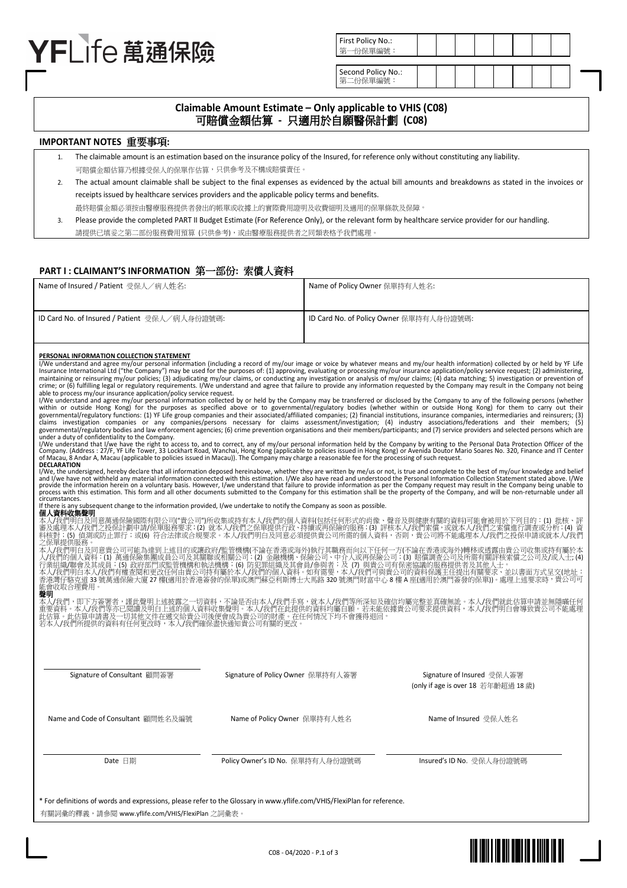# YFI Ife 萬涌保險

| t Policy No.:<br>-份保單編號: |  |  |  |  |
|--------------------------|--|--|--|--|
|                          |  |  |  |  |
| ond Policy No.:          |  |  |  |  |

# **Claimable Amount Estimate – Only applicable to VHIS (C08)**  可賠償金額估算 **-** 只適用於自願醫保計劃 **(C08)**

**First** 第一  $Ser$ 第二份保單編號:

### **IMPORTANT NOTES** 重要事項**:**

- 1. The claimable amount is an estimation based on the insurance policy of the Insured, for reference only without constituting any liability. 可賠償金額估算乃根據受保人的保單作估算,只供參考及不構成賠償責任。
- 2. The actual amount claimable shall be subject to the final expenses as evidenced by the actual bill amounts and breakdowns as stated in the invoices or receipts issued by healthcare services providers and the applicable policy terms and benefits.

最終賠償金額必須按由醫療服務提供者發出的帳單或收據上的實際費用證明及收費細明及適用的保單條款及保障。

3. Please provide the completed PART II Budget Estimate (For Reference Only), or the relevant form by healthcare service provider for our handling. 請提供已填妥之第二部份服務費用預算 (只供參考),或由醫療服務提供者之同類表格予我們處理。

# **PART I : CLAIMANT'S INFORMATION** 第一部份**:** 索償人資料

| Name of Insured / Patient 受保人/病人姓名:           | Name of Policy Owner 保單持有人姓名:           |
|-----------------------------------------------|-----------------------------------------|
| ID Card No. of Insured / Patient 受保人/病人身份證號碼: | ID Card No. of Policy Owner 保單持有人身份證號碼: |

#### **PERSONAL INFORMATION COLLECTION STATEMENT**

I/We understand and agree my/our personal information (including a record of my/our image or voice by whatever means and my/our health information) collected by or held by YF Life<br>Insurance International Ltd ("the Company" crime; or (6) fulfilling legal or regulatory requirements. I/We understand and agree that failure to provide any information requested by the Company may result in the Company not being

able to process my/our insurance application/policy service request.<br>I/We understand and agree my/our personal information collected by or held by the Company may be transferred or disclosed by the Company to any of the fo within or outside Hong Kong) for the purposes as specified above or to governmental/regulatory bodies (whether within or outside Hong Kong) for them to carry out their<br>governmental/regulatory functions: (1) YF Life group c claims investigation companies or any companies/persons necessary for claims assessment/investigation; (4) industry associations/federations and their members; (5)<br>governmental/regulatorybodiesandlawenforcementagencies;(6)

under a duty of confidentiality to the Company.<br>I/We understand that I/we have the right to access to, and to correct, any of my/our personal information held by the Company by writing to the Personal Data Protection Offic **DECLARATION** 

I/We, the undersigned, hereby declare that all information deposed hereinabove, whether they are written by me/us or not, is true and complete to the best of my/our knowledge and belief and I/we have not withheld any material information connected with this estimation. I/We also have read and understood the Personal Information Collection Statement stated above. I/We<br>provide the information herein on a vo

circumstances.<br>If there is any subs If there is any subsequential information provided. I/we undertake to notify the Company as soon as possible.

**個人資料收集聲明**<br>本人/我們明白及同意萬通保險國際有限公司("貴公司")所收集或持有本人/我們的個人資料(包括任何形式的肖像、聲音及與健康有關的資料)可能會被用於下列目的:(1) 批核、評<br>審及處理本人/我們之投保計劃申請/保單服務要求;(2) 就本人/我們之保單提供行政、持續或再保險的服務;(3) 評核本人/我們索償,或就本人/我們之索償進行調查或分析;(4) 資<br>料核對;(5) 偵測或防止罪行;或(6) 符合法律或合規要求。本人/

本人/我們明白及同意貴公司可能為達到上述目的或讓政府/監管機構(不論在香港或海外)執行其職務而向以下任何一方(不論在香港或海外)轉移或透露由貴公司收集或持有屬於本<br>人/我們的個人資料:(1) 萬通保險集團成員公司及其關聯或相關公司;(2) 金融機構、保險公司、中介人或再保險公司;(3) 賠償調查公司及所需有關評核索償之公司及/或人士; (4)<br>行業組織/聯會及其成員;(5) 政府部門或監管機構和執法機構;(6) 防犯罪組織及其會員/參與君 自定局11 和元廷 33<br>能會收取合理費用。

聲明<br>本人/我們,即下 本人/我們,即下方簽署者,謹此聲明上述披露之一切資料,不論是否由本人/我們手寫,就本人/我們等所深知及確信均屬完整並真確無訛。本人/我們就此估算申請並無隱瞞任何<br>重要資料。本人/我們等亦已閱讀及明白上述的個人資料收集聲明。本人/我們在此提供的資料均屬自願。若未能依據貴公司要求提供資料,本人/我們明白會導致貴公司不能處理<br>此估算。此估算申請書及一切其他文件在遞交給貴公司後便會成為貴公司的財產。在任何情況下均不會獲得退回。 平人/我们:可以來看有:"既得了出來的。」沒說明,這些是可以我們在此提前在了。我們在此提前在了我們在比提前有到了我們的有關的更改。<br>重要資料。本人/我們等亦已閱讀及明白上述的個人資料收集會成為貴公司的財產。在<br>若本人/我們所提供的資料有任何更改時,本人/我們確保盡快通知貴公司有關的更改

| Signature of Consultant 顧問簽署        | Signature of Policy Owner 保單持有人簽署 | Signature of Insured 受保人簽署<br>(only if age is over 18 若年齡超過 18歲) |
|-------------------------------------|-----------------------------------|------------------------------------------------------------------|
| Name and Code of Consultant 顧問姓名及編號 | Name of Policy Owner 保單持有人姓名      | Name of Insured 受保人姓名                                            |
| Date 日期                             | Policy Owner's ID No. 保單持有人身份證號碼  | Insured's ID No. 受保人身份證號碼                                        |

\* For definitions of words and expressions, please refer to the Glossary in www.yflife.com/VHIS/FlexiPlan for reference. 有關詞彙的釋義,請參閱 www.yflife.com/VHIS/FlexiPlan 之詞彙表。

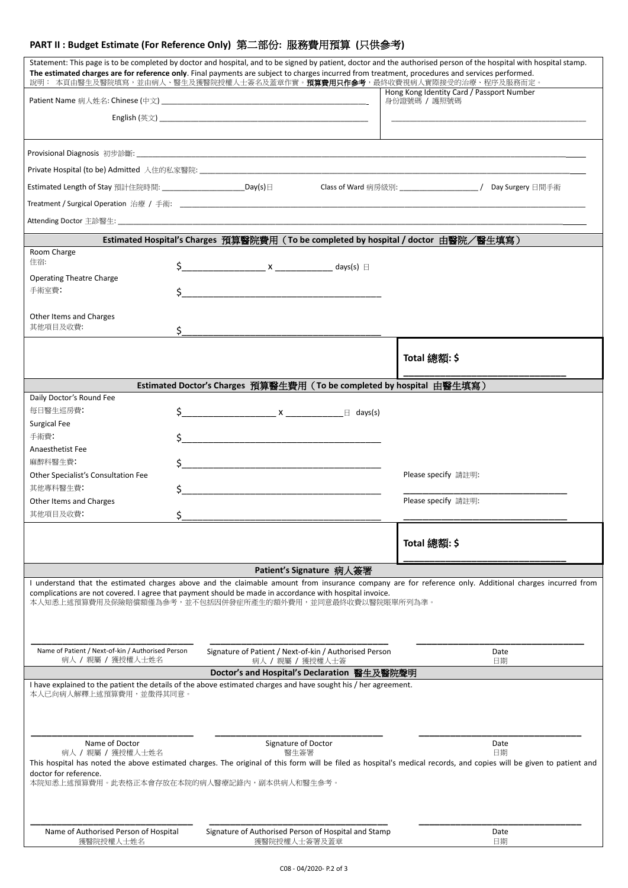# **PART II : Budget Estimate (For Reference Only)** 第二部份**:** 服務費用預算 **(**只供參考**)**

|                                                                        | The estimated charges are for reference only. Final payments are subject to charges incurred from treatment, procedures and services performed.<br>說明: 本頁由醫生及醫院填寫,並由病人、醫生及獲醫院授權人士簽名及蓋章作實。 <b>預算費用只作參考</b> ,最終收費視病人實際接受的治療、程序及服務而定。 | Statement: This page is to be completed by doctor and hospital, and to be signed by patient, doctor and the authorised person of the hospital with hospital stamp.  |
|------------------------------------------------------------------------|------------------------------------------------------------------------------------------------------------------------------------------------------------------------------------------------------------------------------------|---------------------------------------------------------------------------------------------------------------------------------------------------------------------|
|                                                                        |                                                                                                                                                                                                                                    | Hong Kong Identity Card / Passport Number<br>身份證號碼 / 護照號碼                                                                                                           |
|                                                                        |                                                                                                                                                                                                                                    |                                                                                                                                                                     |
|                                                                        |                                                                                                                                                                                                                                    |                                                                                                                                                                     |
|                                                                        |                                                                                                                                                                                                                                    |                                                                                                                                                                     |
|                                                                        |                                                                                                                                                                                                                                    |                                                                                                                                                                     |
| Estimated Length of Stay 預計住院時間: ___________________________Day(s)日    |                                                                                                                                                                                                                                    |                                                                                                                                                                     |
|                                                                        |                                                                                                                                                                                                                                    |                                                                                                                                                                     |
|                                                                        |                                                                                                                                                                                                                                    |                                                                                                                                                                     |
|                                                                        | Estimated Hospital's Charges 預算醫院費用 ( To be completed by hospital / doctor 由醫院/醫生填寫 )                                                                                                                                              |                                                                                                                                                                     |
| Room Charge<br>住宿:                                                     |                                                                                                                                                                                                                                    |                                                                                                                                                                     |
|                                                                        |                                                                                                                                                                                                                                    |                                                                                                                                                                     |
| <b>Operating Theatre Charge</b><br>手術室費:                               |                                                                                                                                                                                                                                    |                                                                                                                                                                     |
|                                                                        |                                                                                                                                                                                                                                    |                                                                                                                                                                     |
| Other Items and Charges                                                |                                                                                                                                                                                                                                    |                                                                                                                                                                     |
| 其他項目及收費:<br>\$.                                                        |                                                                                                                                                                                                                                    |                                                                                                                                                                     |
|                                                                        |                                                                                                                                                                                                                                    |                                                                                                                                                                     |
|                                                                        |                                                                                                                                                                                                                                    | Total 總額: \$                                                                                                                                                        |
|                                                                        | Estimated Doctor's Charges 預算醫生費用 (To be completed by hospital 由醫生填寫)                                                                                                                                                              |                                                                                                                                                                     |
| Daily Doctor's Round Fee                                               |                                                                                                                                                                                                                                    |                                                                                                                                                                     |
| 每日醫生巡房費:                                                               | $\zeta$ $X$ $\qquad \qquad \Box$ days(s)                                                                                                                                                                                           |                                                                                                                                                                     |
| Surgical Fee                                                           |                                                                                                                                                                                                                                    |                                                                                                                                                                     |
| 手術費:<br>\$                                                             |                                                                                                                                                                                                                                    |                                                                                                                                                                     |
| Anaesthetist Fee                                                       |                                                                                                                                                                                                                                    |                                                                                                                                                                     |
| 麻醉科醫生費:                                                                | $\zeta$                                                                                                                                                                                                                            |                                                                                                                                                                     |
| Other Specialist's Consultation Fee                                    |                                                                                                                                                                                                                                    | Please specify 請註明:                                                                                                                                                 |
| 其他專科醫生費:                                                               |                                                                                                                                                                                                                                    |                                                                                                                                                                     |
| Other Items and Charges                                                |                                                                                                                                                                                                                                    | Please specify 請註明:                                                                                                                                                 |
| 其他項目及收費:<br>\$                                                         |                                                                                                                                                                                                                                    |                                                                                                                                                                     |
|                                                                        |                                                                                                                                                                                                                                    | Total 總額:\$                                                                                                                                                         |
|                                                                        | Patient's Signature 病人簽署                                                                                                                                                                                                           |                                                                                                                                                                     |
|                                                                        | complications are not covered. I agree that payment should be made in accordance with hospital invoice.<br>本人知悉上述預算費用及保險賠償額僅為參考,並不包括因併發症所產生的額外費用,並同意最終收費以醫院賬單所列為準。                                                                 | I understand that the estimated charges above and the claimable amount from insurance company are for reference only. Additional charges incurred from              |
| Name of Patient / Next-of-kin / Authorised Person<br>病人 / 親屬 / 獲授權人士姓名 | Signature of Patient / Next-of-kin / Authorised Person<br>病人 / 親屬 / 獲授權人士簽                                                                                                                                                         | Date<br>日期                                                                                                                                                          |
|                                                                        | Doctor's and Hospital's Declaration 醫生及醫院聲明                                                                                                                                                                                        |                                                                                                                                                                     |
| 本人已向病人解釋上述預算費用,並徵得其同意。                                                 | I have explained to the patient the details of the above estimated charges and have sought his / her agreement.                                                                                                                    |                                                                                                                                                                     |
| Name of Doctor                                                         | Signature of Doctor                                                                                                                                                                                                                | Date                                                                                                                                                                |
| 病人 / 親屬 / 獲授權人士姓名                                                      | 醫生簽署                                                                                                                                                                                                                               | 日期                                                                                                                                                                  |
|                                                                        |                                                                                                                                                                                                                                    | This hospital has noted the above estimated charges. The original of this form will be filed as hospital's medical records, and copies will be given to patient and |
| doctor for reference.                                                  | 本院知悉上述預算費用。此表格正本會存放在本院的病人醫療記錄內,副本供病人和醫生參考。                                                                                                                                                                                         |                                                                                                                                                                     |
|                                                                        |                                                                                                                                                                                                                                    |                                                                                                                                                                     |
| Name of Authorised Person of Hospital<br>獲醫院授權人士姓名                     | Signature of Authorised Person of Hospital and Stamp<br>獲醫院授權人士簽署及蓋章                                                                                                                                                               | Date<br>日期                                                                                                                                                          |